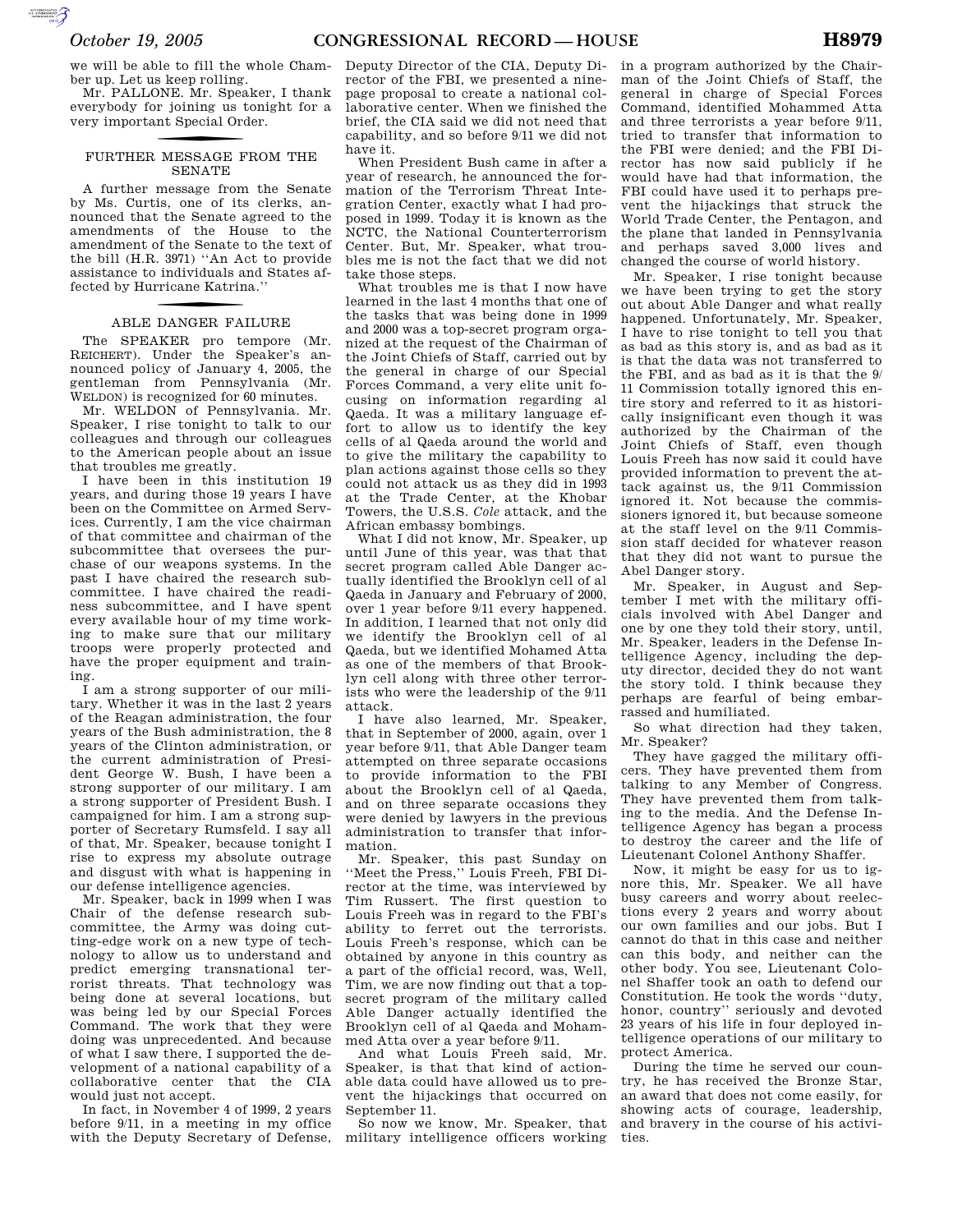we will be able to fill the whole Chamber up. Let us keep rolling.

Mr. PALLONE. Mr. Speaker, I thank everybody for joining us tonight for a very important Special Order.

### f FURTHER MESSAGE FROM THE SENATE

A further message from the Senate by Ms. Curtis, one of its clerks, announced that the Senate agreed to the amendments of the House to the amendment of the Senate to the text of the bill (H.R. 3971) ''An Act to provide assistance to individuals and States affected by Hurricane Katrina. ''

## f ABLE DANGER FAILURE

The SPEAKER pro tempore (Mr. REICHERT). Under the Speaker's announced policy of January 4, 2005, the gentleman from Pennsylvania (Mr. WELDON) is recognized for 60 minutes.

Mr. WELDON of Pennsylvania. Mr. Speaker, I rise tonight to talk to our colleagues and through our colleagues to the American people about an issue that troubles me greatly.

I have been in this institution 19 years, and during those 19 years I have been on the Committee on Armed Services. Currently, I am the vice chairman of that committee and chairman of the subcommittee that oversees the purchase of our weapons systems. In the past I have chaired the research subcommittee. I have chaired the readiness subcommittee, and I have spent every available hour of my time working to make sure that our military troops were properly protected and have the proper equipment and training.

I am a strong supporter of our military. Whether it was in the last 2 years of the Reagan administration, the four years of the Bush administration, the 8 years of the Clinton administration, or the current administration of President George W. Bush, I have been a strong supporter of our military. I am a strong supporter of President Bush. I campaigned for him. I am a strong supporter of Secretary Rumsfeld. I say all of that, Mr. Speaker, because tonight I rise to express my absolute outrage and disgust with what is happening in our defense intelligence agencies.

Mr. Speaker, back in 1999 when I was Chair of the defense research subcommittee, the Army was doing cutting-edge work on a new type of technology to allow us to understand and predict emerging transnational terrorist threats. That technology was being done at several locations, but was being led by our Special Forces Command. The work that they were doing was unprecedented. And because of what I saw there, I supported the development of a national capability of a collaborative center that the CIA would just not accept.

In fact, in November 4 of 1999, 2 years before 9/11, in a meeting in my office with the Deputy Secretary of Defense,

Deputy Director of the CIA, Deputy Director of the FBI, we presented a ninepage proposal to create a national collaborative center. When we finished the brief, the CIA said we did not need that capability, and so before 9/11 we did not have it.

When President Bush came in after a year of research, he announced the formation of the Terrorism Threat Integration Center, exactly what I had proposed in 1999. Today it is known as the NCTC, the National Counterterrorism Center. But, Mr. Speaker, what troubles me is not the fact that we did not take those steps.

What troubles me is that I now have learned in the last 4 months that one of the tasks that was being done in 1999 and 2000 was a top-secret program organized at the request of the Chairman of the Joint Chiefs of Staff, carried out by the general in charge of our Special Forces Command, a very elite unit focusing on information regarding al Qaeda. It was a military language effort to allow us to identify the key cells of al Qaeda around the world and to give the military the capability to plan actions against those cells so they could not attack us as they did in 1993 at the Trade Center, at the Khobar Towers, the U.S.S. *Cole* attack, and the African embassy bombings.

What I did not know, Mr. Speaker, up until June of this year, was that that secret program called Able Danger actually identified the Brooklyn cell of al Qaeda in January and February of 2000, over 1 year before 9/11 every happened. In addition, I learned that not only did we identify the Brooklyn cell of al Qaeda, but we identified Mohamed Atta as one of the members of that Brooklyn cell along with three other terrorists who were the leadership of the 9/11 attack.

I have also learned, Mr. Speaker, that in September of 2000, again, over 1 year before 9/11, that Able Danger team attempted on three separate occasions to provide information to the FBI about the Brooklyn cell of al Qaeda, and on three separate occasions they were denied by lawyers in the previous administration to transfer that information.

Mr. Speaker, this past Sunday on ''Meet the Press,'' Louis Freeh, FBI Director at the time, was interviewed by Tim Russert. The first question to Louis Freeh was in regard to the FBI's ability to ferret out the terrorists. Louis Freeh's response, which can be obtained by anyone in this country as a part of the official record, was, Well, Tim, we are now finding out that a topsecret program of the military called Able Danger actually identified the Brooklyn cell of al Qaeda and Mohammed Atta over a year before 9/11.

And what Louis Freeh said, Mr. Speaker, is that that kind of actionable data could have allowed us to prevent the hijackings that occurred on September 11

So now we know, Mr. Speaker, that military intelligence officers working

in a program authorized by the Chairman of the Joint Chiefs of Staff, the general in charge of Special Forces Command, identified Mohammed Atta and three terrorists a year before 9/11, tried to transfer that information to the FBI were denied; and the FBI Director has now said publicly if he would have had that information, the FBI could have used it to perhaps prevent the hijackings that struck the World Trade Center, the Pentagon, and the plane that landed in Pennsylvania and perhaps saved 3,000 lives and changed the course of world history.

Mr. Speaker, I rise tonight because we have been trying to get the story out about Able Danger and what really happened. Unfortunately, Mr. Speaker, I have to rise tonight to tell you that as bad as this story is, and as bad as it is that the data was not transferred to the FBI, and as bad as it is that the 9/ 11 Commission totally ignored this entire story and referred to it as historically insignificant even though it was authorized by the Chairman of the Joint Chiefs of Staff, even though Louis Freeh has now said it could have provided information to prevent the attack against us, the 9/11 Commission ignored it. Not because the commissioners ignored it, but because someone at the staff level on the 9/11 Commission staff decided for whatever reason that they did not want to pursue the Abel Danger story.

Mr. Speaker, in August and September I met with the military officials involved with Abel Danger and one by one they told their story, until, Mr. Speaker, leaders in the Defense Intelligence Agency, including the deputy director, decided they do not want the story told. I think because they perhaps are fearful of being embarrassed and humiliated.

So what direction had they taken, Mr. Speaker?

They have gagged the military officers. They have prevented them from talking to any Member of Congress. They have prevented them from talking to the media. And the Defense Intelligence Agency has began a process to destroy the career and the life of Lieutenant Colonel Anthony Shaffer.

Now, it might be easy for us to ignore this, Mr. Speaker. We all have busy careers and worry about reelections every 2 years and worry about our own families and our jobs. But I cannot do that in this case and neither can this body, and neither can the other body. You see, Lieutenant Colonel Shaffer took an oath to defend our Constitution. He took the words ''duty, honor, country'' seriously and devoted 23 years of his life in four deployed intelligence operations of our military to protect America.

During the time he served our country, he has received the Bronze Star, an award that does not come easily, for showing acts of courage, leadership, and bravery in the course of his activities.

**SUPERING AND SECURE AND**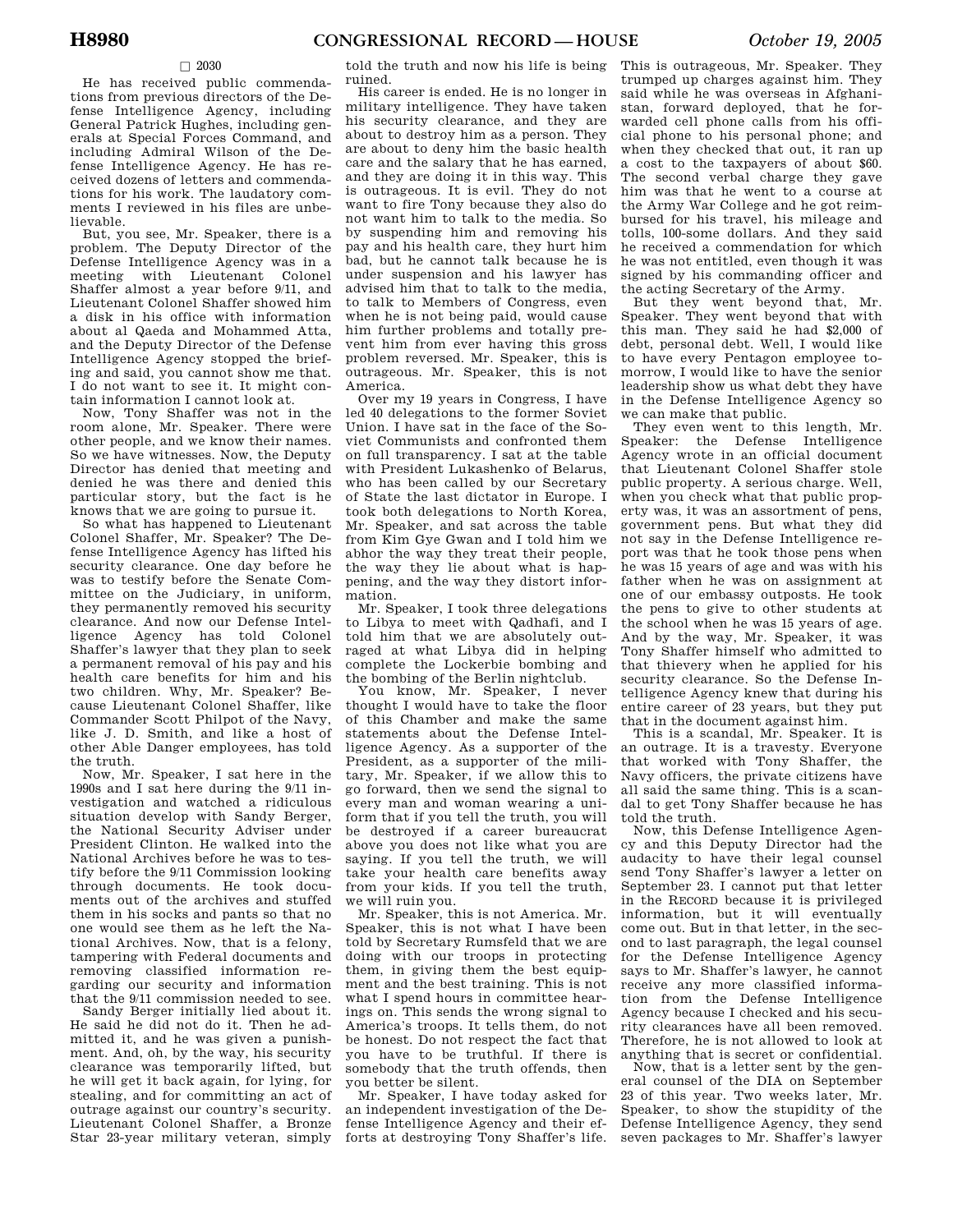### $\Box$  2030

He has received public commendations from previous directors of the Defense Intelligence Agency, including General Patrick Hughes, including generals at Special Forces Command, and including Admiral Wilson of the Defense Intelligence Agency. He has received dozens of letters and commendations for his work. The laudatory comments I reviewed in his files are unbelievable.

But, you see, Mr. Speaker, there is a problem. The Deputy Director of the Defense Intelligence Agency was in a meeting with Lieutenant Colonel Shaffer almost a year before 9/11, and Lieutenant Colonel Shaffer showed him a disk in his office with information about al Qaeda and Mohammed Atta, and the Deputy Director of the Defense Intelligence Agency stopped the briefing and said, you cannot show me that. I do not want to see it. It might contain information I cannot look at.

Now, Tony Shaffer was not in the room alone, Mr. Speaker. There were other people, and we know their names. So we have witnesses. Now, the Deputy Director has denied that meeting and denied he was there and denied this particular story, but the fact is he knows that we are going to pursue it.

So what has happened to Lieutenant Colonel Shaffer, Mr. Speaker? The Defense Intelligence Agency has lifted his security clearance. One day before he was to testify before the Senate Committee on the Judiciary, in uniform, they permanently removed his security clearance. And now our Defense Intelligence Agency has told Colonel Shaffer's lawyer that they plan to seek a permanent removal of his pay and his health care benefits for him and his two children. Why, Mr. Speaker? Because Lieutenant Colonel Shaffer, like Commander Scott Philpot of the Navy, like J. D. Smith, and like a host of other Able Danger employees, has told the truth.

Now, Mr. Speaker, I sat here in the 1990s and I sat here during the 9/11 investigation and watched a ridiculous situation develop with Sandy Berger, the National Security Adviser under President Clinton. He walked into the National Archives before he was to testify before the 9/11 Commission looking through documents. He took documents out of the archives and stuffed them in his socks and pants so that no one would see them as he left the National Archives. Now, that is a felony, tampering with Federal documents and removing classified information regarding our security and information that the 9/11 commission needed to see.

Sandy Berger initially lied about it. He said he did not do it. Then he admitted it, and he was given a punishment. And, oh, by the way, his security clearance was temporarily lifted, but he will get it back again, for lying, for stealing, and for committing an act of outrage against our country's security. Lieutenant Colonel Shaffer, a Bronze Star 23-year military veteran, simply

told the truth and now his life is being ruined.

His career is ended. He is no longer in military intelligence. They have taken his security clearance, and they are about to destroy him as a person. They are about to deny him the basic health care and the salary that he has earned, and they are doing it in this way. This is outrageous. It is evil. They do not want to fire Tony because they also do not want him to talk to the media. So by suspending him and removing his pay and his health care, they hurt him bad, but he cannot talk because he is under suspension and his lawyer has advised him that to talk to the media, to talk to Members of Congress, even when he is not being paid, would cause him further problems and totally prevent him from ever having this gross problem reversed. Mr. Speaker, this is outrageous. Mr. Speaker, this is not America.

Over my 19 years in Congress, I have led 40 delegations to the former Soviet Union. I have sat in the face of the Soviet Communists and confronted them on full transparency. I sat at the table with President Lukashenko of Belarus, who has been called by our Secretary of State the last dictator in Europe. I took both delegations to North Korea, Mr. Speaker, and sat across the table from Kim Gye Gwan and I told him we abhor the way they treat their people, the way they lie about what is happening, and the way they distort information.

Mr. Speaker, I took three delegations to Libya to meet with Qadhafi, and I told him that we are absolutely outraged at what Libya did in helping complete the Lockerbie bombing and the bombing of the Berlin nightclub.

You know, Mr. Speaker, I never thought I would have to take the floor of this Chamber and make the same statements about the Defense Intelligence Agency. As a supporter of the President, as a supporter of the military, Mr. Speaker, if we allow this to go forward, then we send the signal to every man and woman wearing a uniform that if you tell the truth, you will be destroyed if a career bureaucrat above you does not like what you are saying. If you tell the truth, we will take your health care benefits away from your kids. If you tell the truth, we will ruin you.

Mr. Speaker, this is not America. Mr. Speaker, this is not what I have been told by Secretary Rumsfeld that we are doing with our troops in protecting them, in giving them the best equipment and the best training. This is not what I spend hours in committee hearings on. This sends the wrong signal to America's troops. It tells them, do not be honest. Do not respect the fact that you have to be truthful. If there is somebody that the truth offends, then you better be silent.

Mr. Speaker, I have today asked for an independent investigation of the Defense Intelligence Agency and their efforts at destroying Tony Shaffer's life.

This is outrageous, Mr. Speaker. They trumped up charges against him. They said while he was overseas in Afghanistan, forward deployed, that he forwarded cell phone calls from his official phone to his personal phone; and when they checked that out, it ran up a cost to the taxpayers of about \$60. The second verbal charge they gave him was that he went to a course at the Army War College and he got reimbursed for his travel, his mileage and tolls, 100-some dollars. And they said he received a commendation for which he was not entitled, even though it was signed by his commanding officer and the acting Secretary of the Army.

But they went beyond that, Mr. Speaker. They went beyond that with this man. They said he had \$2,000 of debt, personal debt. Well, I would like to have every Pentagon employee tomorrow, I would like to have the senior leadership show us what debt they have in the Defense Intelligence Agency so we can make that public.

They even went to this length, Mr. Speaker: the Defense Intelligence Agency wrote in an official document that Lieutenant Colonel Shaffer stole public property. A serious charge. Well, when you check what that public property was, it was an assortment of pens, government pens. But what they did not say in the Defense Intelligence report was that he took those pens when he was 15 years of age and was with his father when he was on assignment at one of our embassy outposts. He took the pens to give to other students at the school when he was 15 years of age. And by the way, Mr. Speaker, it was Tony Shaffer himself who admitted to that thievery when he applied for his security clearance. So the Defense Intelligence Agency knew that during his entire career of 23 years, but they put that in the document against him.

This is a scandal, Mr. Speaker. It is an outrage. It is a travesty. Everyone that worked with Tony Shaffer, the Navy officers, the private citizens have all said the same thing. This is a scandal to get Tony Shaffer because he has told the truth.

Now, this Defense Intelligence Agency and this Deputy Director had the audacity to have their legal counsel send Tony Shaffer's lawyer a letter on September 23. I cannot put that letter in the RECORD because it is privileged information, but it will eventually come out. But in that letter, in the second to last paragraph, the legal counsel for the Defense Intelligence Agency says to Mr. Shaffer's lawyer, he cannot receive any more classified information from the Defense Intelligence Agency because I checked and his security clearances have all been removed. Therefore, he is not allowed to look at anything that is secret or confidential.

Now, that is a letter sent by the general counsel of the DIA on September 23 of this year. Two weeks later, Mr. Speaker, to show the stupidity of the Defense Intelligence Agency, they send seven packages to Mr. Shaffer's lawyer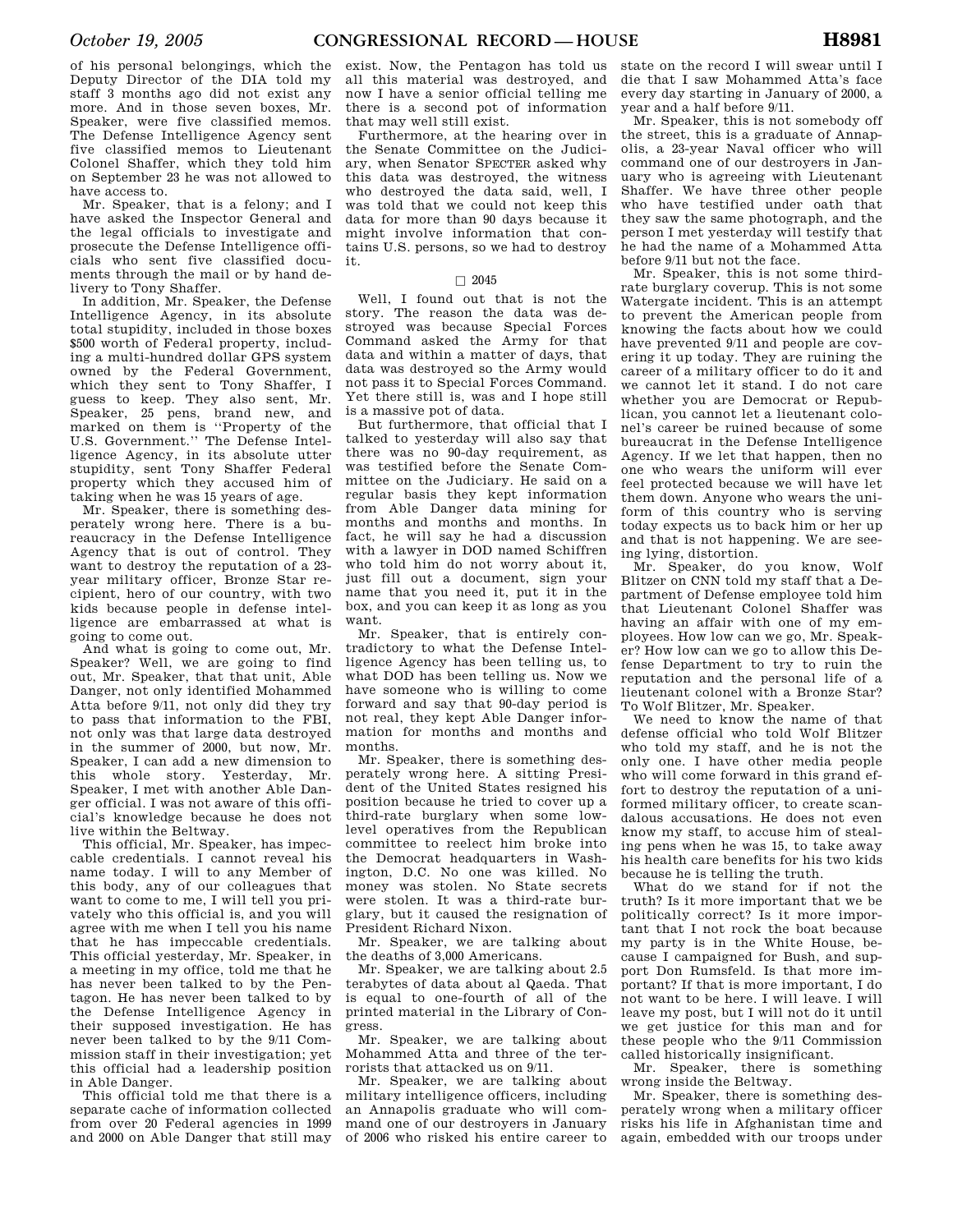of his personal belongings, which the Deputy Director of the DIA told my staff 3 months ago did not exist any more. And in those seven boxes, Mr. Speaker, were five classified memos. The Defense Intelligence Agency sent five classified memos to Lieutenant Colonel Shaffer, which they told him on September 23 he was not allowed to have access to.

Mr. Speaker, that is a felony; and I have asked the Inspector General and the legal officials to investigate and prosecute the Defense Intelligence officials who sent five classified documents through the mail or by hand delivery to Tony Shaffer.

In addition, Mr. Speaker, the Defense Intelligence Agency, in its absolute total stupidity, included in those boxes \$500 worth of Federal property, including a multi-hundred dollar GPS system owned by the Federal Government, which they sent to Tony Shaffer, I guess to keep. They also sent, Mr. Speaker, 25 pens, brand new, and marked on them is ''Property of the U.S. Government.'' The Defense Intelligence Agency, in its absolute utter stupidity, sent Tony Shaffer Federal property which they accused him of taking when he was 15 years of age.

Mr. Speaker, there is something desperately wrong here. There is a bureaucracy in the Defense Intelligence Agency that is out of control. They want to destroy the reputation of a 23 year military officer, Bronze Star recipient, hero of our country, with two kids because people in defense intelligence are embarrassed at what is going to come out.

And what is going to come out, Mr. Speaker? Well, we are going to find out, Mr. Speaker, that that unit, Able Danger, not only identified Mohammed Atta before 9/11, not only did they try to pass that information to the FBI, not only was that large data destroyed in the summer of 2000, but now, Mr. Speaker, Lean add a new dimension to this whole story. Yesterday, Mr. Speaker, I met with another Able Danger official. I was not aware of this official's knowledge because he does not live within the Beltway.

This official, Mr. Speaker, has impeccable credentials. I cannot reveal his name today. I will to any Member of this body, any of our colleagues that want to come to me, I will tell you privately who this official is, and you will agree with me when I tell you his name that he has impeccable credentials. This official yesterday, Mr. Speaker, in a meeting in my office, told me that he has never been talked to by the Pentagon. He has never been talked to by the Defense Intelligence Agency in their supposed investigation. He has never been talked to by the 9/11 Commission staff in their investigation; yet this official had a leadership position in Able Danger.

This official told me that there is a separate cache of information collected from over 20 Federal agencies in 1999 and 2000 on Able Danger that still may

exist. Now, the Pentagon has told us all this material was destroyed, and now I have a senior official telling me there is a second pot of information that may well still exist.

Furthermore, at the hearing over in the Senate Committee on the Judiciary, when Senator SPECTER asked why this data was destroyed, the witness who destroyed the data said, well, I was told that we could not keep this data for more than 90 days because it might involve information that contains U.S. persons, so we had to destroy it.

#### $\Box$  2045

Well, I found out that is not the story. The reason the data was destroyed was because Special Forces Command asked the Army for that data and within a matter of days, that data was destroyed so the Army would not pass it to Special Forces Command. Yet there still is, was and I hope still is a massive pot of data.

But furthermore, that official that I talked to yesterday will also say that there was no 90-day requirement, as was testified before the Senate Committee on the Judiciary. He said on a regular basis they kept information from Able Danger data mining for months and months and months. In fact, he will say he had a discussion with a lawyer in DOD named Schiffren who told him do not worry about it, just fill out a document, sign your name that you need it, put it in the box, and you can keep it as long as you want.

Mr. Speaker, that is entirely contradictory to what the Defense Intelligence Agency has been telling us, to what DOD has been telling us. Now we have someone who is willing to come forward and say that 90-day period is not real, they kept Able Danger information for months and months and months.

Mr. Speaker, there is something desperately wrong here. A sitting President of the United States resigned his position because he tried to cover up a third-rate burglary when some lowlevel operatives from the Republican committee to reelect him broke into the Democrat headquarters in Washington, D.C. No one was killed. No money was stolen. No State secrets were stolen. It was a third-rate burglary, but it caused the resignation of President Richard Nixon.

Mr. Speaker, we are talking about the deaths of 3,000 Americans.

Mr. Speaker, we are talking about 2.5 terabytes of data about al Qaeda. That is equal to one-fourth of all of the printed material in the Library of Congress.

Mr. Speaker, we are talking about Mohammed Atta and three of the terrorists that attacked us on 9/11.

Mr. Speaker, we are talking about military intelligence officers, including an Annapolis graduate who will command one of our destroyers in January of 2006 who risked his entire career to

state on the record I will swear until I die that I saw Mohammed Atta's face every day starting in January of 2000, a year and a half before 9/11.

Mr. Speaker, this is not somebody off the street, this is a graduate of Annapolis, a 23-year Naval officer who will command one of our destroyers in January who is agreeing with Lieutenant Shaffer. We have three other people who have testified under oath that they saw the same photograph, and the person I met yesterday will testify that he had the name of a Mohammed Atta before 9/11 but not the face.

Mr. Speaker, this is not some thirdrate burglary coverup. This is not some Watergate incident. This is an attempt to prevent the American people from knowing the facts about how we could have prevented 9/11 and people are covering it up today. They are ruining the career of a military officer to do it and we cannot let it stand. I do not care whether you are Democrat or Republican, you cannot let a lieutenant colonel's career be ruined because of some bureaucrat in the Defense Intelligence Agency. If we let that happen, then no one who wears the uniform will ever feel protected because we will have let them down. Anyone who wears the uniform of this country who is serving today expects us to back him or her up and that is not happening. We are seeing lying, distortion.

Mr. Speaker, do you know, Wolf Blitzer on CNN told my staff that a Department of Defense employee told him that Lieutenant Colonel Shaffer was having an affair with one of my employees. How low can we go, Mr. Speaker? How low can we go to allow this Defense Department to try to ruin the reputation and the personal life of a lieutenant colonel with a Bronze Star? To Wolf Blitzer, Mr. Speaker.

We need to know the name of that defense official who told Wolf Blitzer who told my staff, and he is not the only one. I have other media people who will come forward in this grand effort to destroy the reputation of a uniformed military officer, to create scandalous accusations. He does not even know my staff, to accuse him of stealing pens when he was 15, to take away his health care benefits for his two kids because he is telling the truth.

What do we stand for if not the truth? Is it more important that we be politically correct? Is it more important that I not rock the boat because my party is in the White House, because I campaigned for Bush, and support Don Rumsfeld. Is that more important? If that is more important, I do not want to be here. I will leave. I will leave my post, but I will not do it until we get justice for this man and for these people who the 9/11 Commission called historically insignificant.

Mr. Speaker, there is something wrong inside the Beltway.

Mr. Speaker, there is something desperately wrong when a military officer risks his life in Afghanistan time and again, embedded with our troops under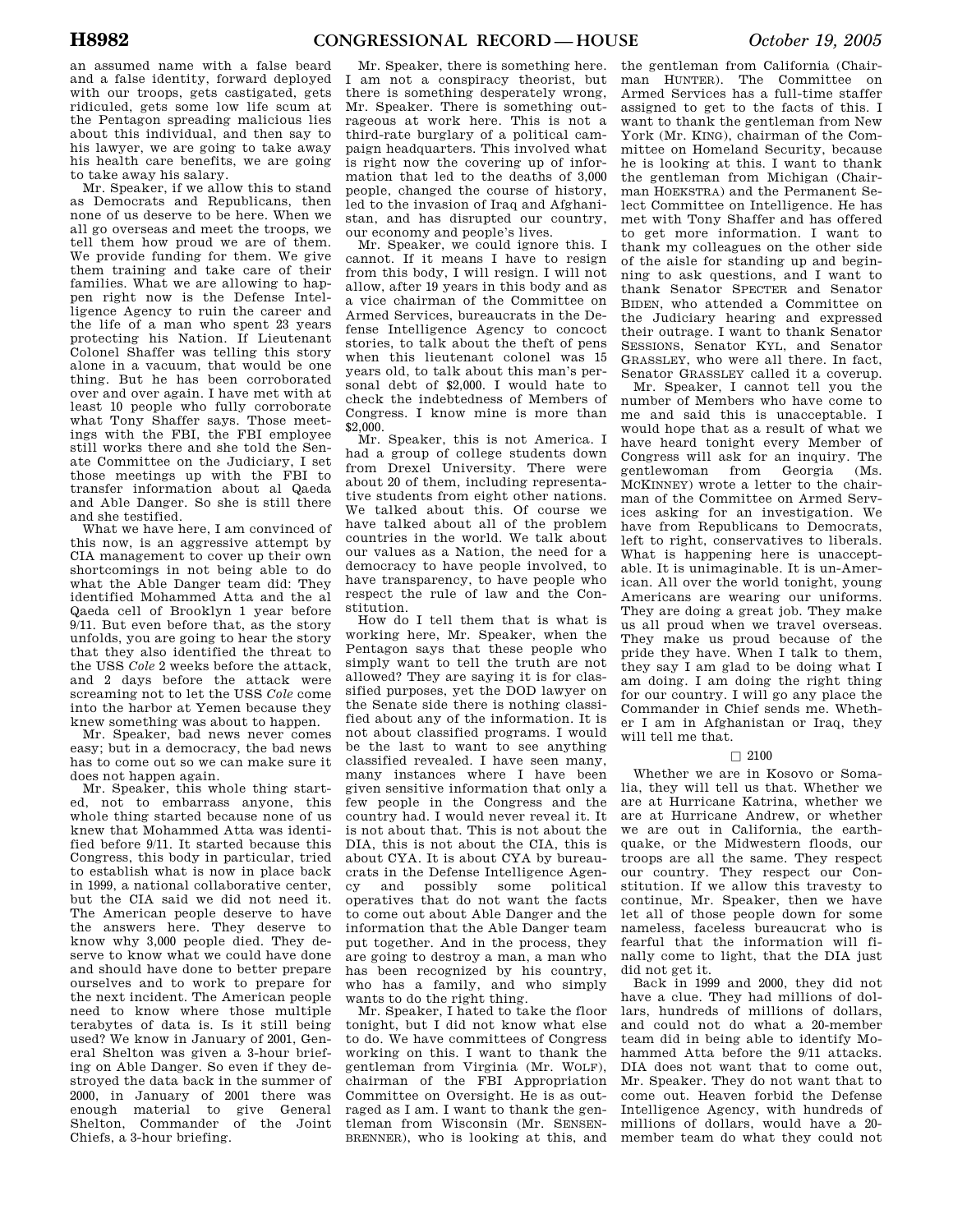an assumed name with a false beard and a false identity, forward deployed with our troops, gets castigated, gets ridiculed, gets some low life scum at the Pentagon spreading malicious lies about this individual, and then say to his lawyer, we are going to take away his health care benefits, we are going to take away his salary.

Mr. Speaker, if we allow this to stand as Democrats and Republicans, then none of us deserve to be here. When we all go overseas and meet the troops, we tell them how proud we are of them. We provide funding for them. We give them training and take care of their families. What we are allowing to happen right now is the Defense Intelligence Agency to ruin the career and the life of a man who spent 23 years protecting his Nation. If Lieutenant Colonel Shaffer was telling this story alone in a vacuum, that would be one thing. But he has been corroborated over and over again. I have met with at least 10 people who fully corroborate what Tony Shaffer says. Those meetings with the FBI, the FBI employee still works there and she told the Senate Committee on the Judiciary, I set those meetings up with the FBI to transfer information about al Qaeda and Able Danger. So she is still there and she testified.

What we have here, I am convinced of this now, is an aggressive attempt by CIA management to cover up their own shortcomings in not being able to do what the Able Danger team did: They identified Mohammed Atta and the al Qaeda cell of Brooklyn 1 year before 9/11. But even before that, as the story unfolds, you are going to hear the story that they also identified the threat to the USS *Cole* 2 weeks before the attack, and 2 days before the attack were screaming not to let the USS *Cole* come into the harbor at Yemen because they knew something was about to happen.

Mr. Speaker, bad news never comes easy; but in a democracy, the bad news has to come out so we can make sure it does not happen again.

Mr. Speaker, this whole thing started, not to embarrass anyone, this whole thing started because none of us knew that Mohammed Atta was identified before 9/11. It started because this Congress, this body in particular, tried to establish what is now in place back in 1999, a national collaborative center, but the CIA said we did not need it. The American people deserve to have the answers here. They deserve to know why 3,000 people died. They deserve to know what we could have done and should have done to better prepare ourselves and to work to prepare for the next incident. The American people need to know where those multiple terabytes of data is. Is it still being used? We know in January of 2001, General Shelton was given a 3-hour briefing on Able Danger. So even if they destroyed the data back in the summer of 2000, in January of 2001 there was enough material to give General Shelton, Commander of the Joint Chiefs, a 3-hour briefing.

Mr. Speaker, there is something here. I am not a conspiracy theorist, but there is something desperately wrong, Mr. Speaker. There is something outrageous at work here. This is not a third-rate burglary of a political campaign headquarters. This involved what is right now the covering up of information that led to the deaths of 3,000 people, changed the course of history, led to the invasion of Iraq and Afghanistan, and has disrupted our country, our economy and people's lives.

Mr. Speaker, we could ignore this. I cannot. If it means I have to resign from this body, I will resign. I will not allow, after 19 years in this body and as a vice chairman of the Committee on Armed Services, bureaucrats in the Defense Intelligence Agency to concoct stories, to talk about the theft of pens when this lieutenant colonel was 15 years old, to talk about this man's personal debt of \$2,000. I would hate to check the indebtedness of Members of Congress. I know mine is more than \$2,000.

Mr. Speaker, this is not America. I had a group of college students down from Drexel University. There were about 20 of them, including representative students from eight other nations. We talked about this. Of course we have talked about all of the problem countries in the world. We talk about our values as a Nation, the need for a democracy to have people involved, to have transparency, to have people who respect the rule of law and the Constitution.

How do I tell them that is what is working here, Mr. Speaker, when the Pentagon says that these people who simply want to tell the truth are not allowed? They are saying it is for classified purposes, yet the DOD lawyer on the Senate side there is nothing classified about any of the information. It is not about classified programs. I would be the last to want to see anything classified revealed. I have seen many, many instances where I have been given sensitive information that only a few people in the Congress and the country had. I would never reveal it. It is not about that. This is not about the DIA, this is not about the CIA, this is about CYA. It is about CYA by bureaucrats in the Defense Intelligence Agency and possibly some political operatives that do not want the facts to come out about Able Danger and the information that the Able Danger team put together. And in the process, they are going to destroy a man, a man who has been recognized by his country, who has a family, and who simply wants to do the right thing.

Mr. Speaker, I hated to take the floor tonight, but I did not know what else to do. We have committees of Congress working on this. I want to thank the gentleman from Virginia (Mr. WOLF), chairman of the FBI Appropriation Committee on Oversight. He is as outraged as I am. I want to thank the gentleman from Wisconsin (Mr. SENSEN-BRENNER), who is looking at this, and member team do what they could not

the gentleman from California (Chairman HUNTER). The Committee on Armed Services has a full-time staffer assigned to get to the facts of this. I want to thank the gentleman from New York (Mr. KING), chairman of the Committee on Homeland Security, because he is looking at this. I want to thank the gentleman from Michigan (Chairman HOEKSTRA) and the Permanent Select Committee on Intelligence. He has met with Tony Shaffer and has offered to get more information. I want to thank my colleagues on the other side of the aisle for standing up and beginning to ask questions, and I want to thank Senator SPECTER and Senator BIDEN, who attended a Committee on the Judiciary hearing and expressed their outrage. I want to thank Senator SESSIONS, Senator KYL, and Senator GRASSLEY, who were all there. In fact, Senator GRASSLEY called it a coverup.

Mr. Speaker, I cannot tell you the number of Members who have come to me and said this is unacceptable. I would hope that as a result of what we have heard tonight every Member of Congress will ask for an inquiry. The gentlewoman from Georgia (Ms. gentlewoman from Georgia MCKINNEY) wrote a letter to the chairman of the Committee on Armed Services asking for an investigation. We have from Republicans to Democrats, left to right, conservatives to liberals. What is happening here is unacceptable. It is unimaginable. It is un-American. All over the world tonight, young Americans are wearing our uniforms. They are doing a great job. They make us all proud when we travel overseas. They make us proud because of the pride they have. When I talk to them, they say I am glad to be doing what  $\overline{I}$ am doing. I am doing the right thing for our country. I will go any place the Commander in Chief sends me. Whether I am in Afghanistan or Iraq, they will tell me that.

### $\Box$  2100

Whether we are in Kosovo or Somalia, they will tell us that. Whether we are at Hurricane Katrina, whether we are at Hurricane Andrew, or whether we are out in California, the earthquake, or the Midwestern floods, our troops are all the same. They respect our country. They respect our Constitution. If we allow this travesty to continue, Mr. Speaker, then we have let all of those people down for some nameless, faceless bureaucrat who is fearful that the information will finally come to light, that the DIA just did not get it.

Back in 1999 and 2000, they did not have a clue. They had millions of dollars, hundreds of millions of dollars, and could not do what a 20-member team did in being able to identify Mohammed Atta before the 9/11 attacks. DIA does not want that to come out, Mr. Speaker. They do not want that to come out. Heaven forbid the Defense Intelligence Agency, with hundreds of millions of dollars, would have a 20-